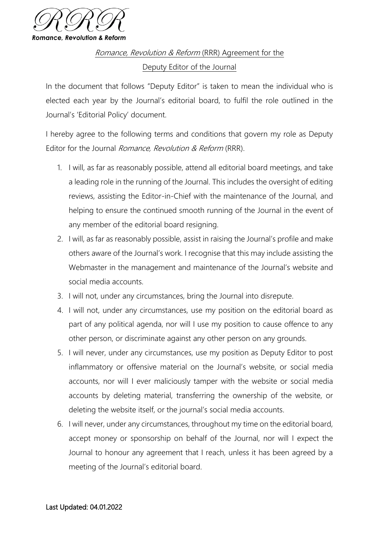

Romance, Revolution & Reform (RRR) Agreement for the Deputy Editor of the Journal

In the document that follows "Deputy Editor" is taken to mean the individual who is elected each year by the Journal's editorial board, to fulfil the role outlined in the Journal's 'Editorial Policy' document.

I hereby agree to the following terms and conditions that govern my role as Deputy Editor for the Journal *Romance, Revolution & Reform* (RRR).

- 1. I will, as far as reasonably possible, attend all editorial board meetings, and take a leading role in the running of the Journal. This includes the oversight of editing reviews, assisting the Editor-in-Chief with the maintenance of the Journal, and helping to ensure the continued smooth running of the Journal in the event of any member of the editorial board resigning.
- 2. I will, as far as reasonably possible, assist in raising the Journal's profile and make others aware of the Journal's work. I recognise that this may include assisting the Webmaster in the management and maintenance of the Journal's website and social media accounts.
- 3. I will not, under any circumstances, bring the Journal into disrepute.
- 4. I will not, under any circumstances, use my position on the editorial board as part of any political agenda, nor will I use my position to cause offence to any other person, or discriminate against any other person on any grounds.
- 5. I will never, under any circumstances, use my position as Deputy Editor to post inflammatory or offensive material on the Journal's website, or social media accounts, nor will I ever maliciously tamper with the website or social media accounts by deleting material, transferring the ownership of the website, or deleting the website itself, or the journal's social media accounts.
- 6. I will never, under any circumstances, throughout my time on the editorial board, accept money or sponsorship on behalf of the Journal, nor will I expect the Journal to honour any agreement that I reach, unless it has been agreed by a meeting of the Journal's editorial board.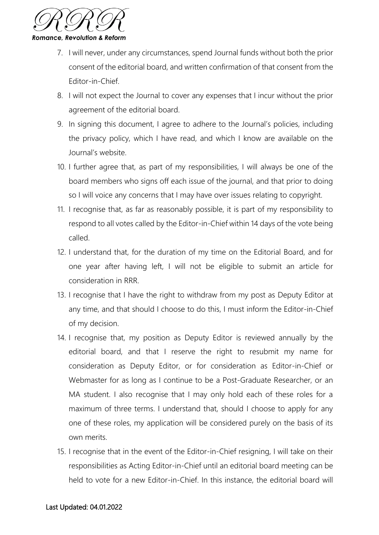

- 7. I will never, under any circumstances, spend Journal funds without both the prior consent of the editorial board, and written confirmation of that consent from the Editor-in-Chief.
- 8. I will not expect the Journal to cover any expenses that I incur without the prior agreement of the editorial board.
- 9. In signing this document, I agree to adhere to the Journal's policies, including the privacy policy, which I have read, and which I know are available on the Journal's website.
- 10. I further agree that, as part of my responsibilities, I will always be one of the board members who signs off each issue of the journal, and that prior to doing so I will voice any concerns that I may have over issues relating to copyright.
- 11. I recognise that, as far as reasonably possible, it is part of my responsibility to respond to all votes called by the Editor-in-Chief within 14 days of the vote being called.
- 12. I understand that, for the duration of my time on the Editorial Board, and for one year after having left, I will not be eligible to submit an article for consideration in RRR.
- 13. I recognise that I have the right to withdraw from my post as Deputy Editor at any time, and that should I choose to do this, I must inform the Editor-in-Chief of my decision.
- 14. I recognise that, my position as Deputy Editor is reviewed annually by the editorial board, and that I reserve the right to resubmit my name for consideration as Deputy Editor, or for consideration as Editor-in-Chief or Webmaster for as long as I continue to be a Post-Graduate Researcher, or an MA student. I also recognise that I may only hold each of these roles for a maximum of three terms. I understand that, should I choose to apply for any one of these roles, my application will be considered purely on the basis of its own merits.
- 15. I recognise that in the event of the Editor-in-Chief resigning, I will take on their responsibilities as Acting Editor-in-Chief until an editorial board meeting can be held to vote for a new Editor-in-Chief. In this instance, the editorial board will